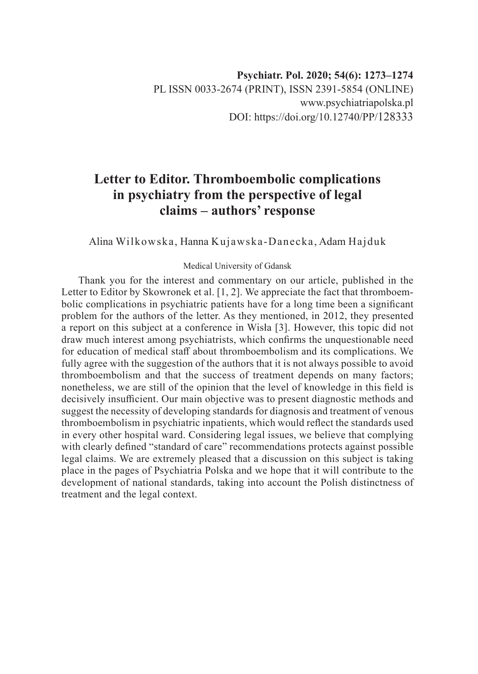## **Letter to Editor. Thromboembolic complications in psychiatry from the perspective of legal claims – authors' response**

Alina Wilkowska, Hanna Kujawska-Danecka, Adam Hajduk

## Medical University of Gdansk

Thank you for the interest and commentary on our article, published in the Letter to Editor by Skowronek et al. [1, 2]. We appreciate the fact that thromboembolic complications in psychiatric patients have for a long time been a significant problem for the authors of the letter. As they mentioned, in 2012, they presented a report on this subject at a conference in Wisła [3]. However, this topic did not draw much interest among psychiatrists, which confirms the unquestionable need for education of medical staff about thromboembolism and its complications. We fully agree with the suggestion of the authors that it is not always possible to avoid thromboembolism and that the success of treatment depends on many factors; nonetheless, we are still of the opinion that the level of knowledge in this field is decisively insufficient. Our main objective was to present diagnostic methods and suggest the necessity of developing standards for diagnosis and treatment of venous thromboembolism in psychiatric inpatients, which would reflect the standards used in every other hospital ward. Considering legal issues, we believe that complying with clearly defined "standard of care" recommendations protects against possible legal claims. We are extremely pleased that a discussion on this subject is taking place in the pages of Psychiatria Polska and we hope that it will contribute to the development of national standards, taking into account the Polish distinctness of treatment and the legal context.